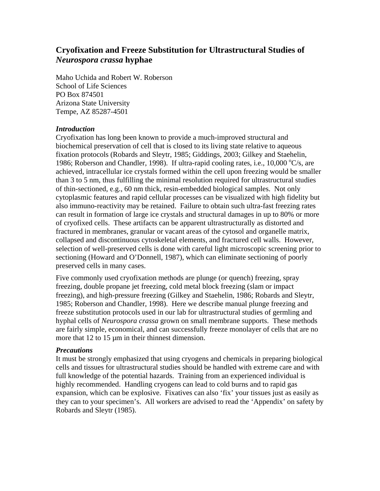# **Cryofixation and Freeze Substitution for Ultrastructural Studies of**  *Neurospora crassa* **hyphae**

Maho Uchida and Robert W. Roberson School of Life Sciences PO Box 874501 Arizona State University Tempe, AZ 85287-4501

#### *Introduction*

Cryofixation has long been known to provide a much-improved structural and biochemical preservation of cell that is closed to its living state relative to aqueous fixation protocols (Robards and Sleytr, 1985; Giddings, 2003; Gilkey and Staehelin, 1986; Roberson and Chandler, 1998). If ultra-rapid cooling rates, i.e., 10,000  $\mathrm{C/s}$ , are achieved, intracellular ice crystals formed within the cell upon freezing would be smaller than 3 to 5 nm, thus fulfilling the minimal resolution required for ultrastructural studies of thin-sectioned, e.g., 60 nm thick, resin-embedded biological samples. Not only cytoplasmic features and rapid cellular processes can be visualized with high fidelity but also immuno-reactivity may be retained. Failure to obtain such ultra-fast freezing rates can result in formation of large ice crystals and structural damages in up to 80% or more of cryofixed cells. These artifacts can be apparent ultrastructurally as distorted and fractured in membranes, granular or vacant areas of the cytosol and organelle matrix, collapsed and discontinuous cytoskeletal elements, and fractured cell walls. However, selection of well-preserved cells is done with careful light microscopic screening prior to sectioning (Howard and O'Donnell, 1987), which can eliminate sectioning of poorly preserved cells in many cases.

Five commonly used cryofixation methods are plunge (or quench) freezing, spray freezing, double propane jet freezing, cold metal block freezing (slam or impact freezing), and high-pressure freezing (Gilkey and Staehelin, 1986; Robards and Sleytr, 1985; Roberson and Chandler, 1998). Here we describe manual plunge freezing and freeze substitution protocols used in our lab for ultrastructural studies of germling and hyphal cells of *Neurospora crassa* grown on small membrane supports. These methods are fairly simple, economical, and can successfully freeze monolayer of cells that are no more that 12 to 15  $\mu$ m in their thinnest dimension.

#### *Precautions*

It must be strongly emphasized that using cryogens and chemicals in preparing biological cells and tissues for ultrastructural studies should be handled with extreme care and with full knowledge of the potential hazards. Training from an experienced individual is highly recommended. Handling cryogens can lead to cold burns and to rapid gas expansion, which can be explosive. Fixatives can also 'fix' your tissues just as easily as they can to your specimen's. All workers are advised to read the 'Appendix' on safety by Robards and Sleytr (1985).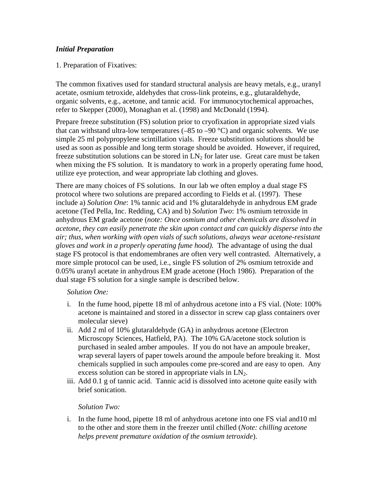# *Initial Preparation*

## 1. Preparation of Fixatives:

The common fixatives used for standard structural analysis are heavy metals, e.g., uranyl acetate, osmium tetroxide, aldehydes that cross-link proteins, e.g., glutaraldehyde, organic solvents, e.g., acetone, and tannic acid. For immunocytochemical approaches, refer to Skepper (2000), Monaghan et al. (1998) and McDonald (1994).

Prepare freeze substitution (FS) solution prior to cryofixation in appropriate sized vials that can withstand ultra-low temperatures  $(-85 \text{ to } -90 \degree \text{C})$  and organic solvents. We use simple 25 ml polypropylene scintillation vials. Freeze substitution solutions should be used as soon as possible and long term storage should be avoided. However, if required, freeze substitution solutions can be stored in  $LN_2$  for later use. Great care must be taken when mixing the FS solution. It is mandatory to work in a properly operating fume hood, utilize eye protection, and wear appropriate lab clothing and gloves.

There are many choices of FS solutions. In our lab we often employ a dual stage FS protocol where two solutions are prepared according to Fields et al. (1997). These include a) *Solution One*: 1% tannic acid and 1% glutaraldehyde in anhydrous EM grade acetone (Ted Pella, Inc. Redding, CA) and b) *Solution Two*: 1% osmium tetroxide in anhydrous EM grade acetone (*note: Once osmium and other chemicals are dissolved in acetone, they can easily penetrate the skin upon contact and can quickly disperse into the air; thus, when working with open vials of such solutions, always wear acetone-resistant gloves and work in a properly operating fume hood)*. The advantage of using the dual stage FS protocol is that endomembranes are often very well contrasted. Alternatively, a more simple protocol can be used, i.e., single FS solution of 2% osmium tetroxide and 0.05% uranyl acetate in anhydrous EM grade acetone (Hoch 1986). Preparation of the dual stage FS solution for a single sample is described below.

#### *Solution One:*

- i. In the fume hood, pipette 18 ml of anhydrous acetone into a FS vial. (Note: 100% acetone is maintained and stored in a dissector in screw cap glass containers over molecular sieve)
- ii. Add 2 ml of 10% glutaraldehyde (GA) in anhydrous acetone (Electron Microscopy Sciences, Hatfield, PA). The 10% GA/acetone stock solution is purchased in sealed amber ampoules. If you do not have an ampoule breaker, wrap several layers of paper towels around the ampoule before breaking it. Most chemicals supplied in such ampoules come pre-scored and are easy to open. Any excess solution can be stored in appropriate vials in  $LN_2$ .
- iii. Add 0.1 g of tannic acid. Tannic acid is dissolved into acetone quite easily with brief sonication.

#### *Solution Two:*

i. In the fume hood, pipette 18 ml of anhydrous acetone into one FS vial and10 ml to the other and store them in the freezer until chilled (*Note: chilling acetone helps prevent premature oxidation of the osmium tetroxide*).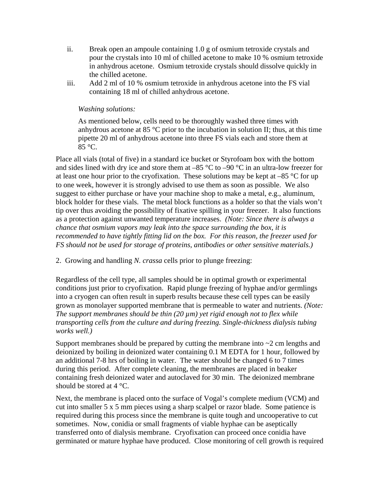- ii. Break open an ampoule containing 1.0 g of osmium tetroxide crystals and pour the crystals into 10 ml of chilled acetone to make 10 % osmium tetroxide in anhydrous acetone. Osmium tetroxide crystals should dissolve quickly in the chilled acetone.
- iii. Add 2 ml of 10 % osmium tetroxide in anhydrous acetone into the FS vial containing 18 ml of chilled anhydrous acetone.

## *Washing solutions:*

As mentioned below, cells need to be thoroughly washed three times with anhydrous acetone at 85 °C prior to the incubation in solution II; thus, at this time pipette 20 ml of anhydrous acetone into three FS vials each and store them at 85 °C.

Place all vials (total of five) in a standard ice bucket or Styrofoam box with the bottom and sides lined with dry ice and store them at  $-85 \degree C$  to  $-90 \degree C$  in an ultra-low freezer for at least one hour prior to the cryofixation. These solutions may be kept at  $-85$  °C for up to one week, however it is strongly advised to use them as soon as possible. We also suggest to either purchase or have your machine shop to make a metal, e.g., aluminum, block holder for these vials. The metal block functions as a holder so that the vials won't tip over thus avoiding the possibility of fixative spilling in your freezer. It also functions as a protection against unwanted temperature increases. *(Note: Since there is always a chance that osmium vapors may leak into the space surrounding the box, it is recommended to have tightly fitting lid on the box. For this reason, the freezer used for FS should not be used for storage of proteins, antibodies or other sensitive materials.)* 

2. Growing and handling *N. crassa* cells prior to plunge freezing:

Regardless of the cell type, all samples should be in optimal growth or experimental conditions just prior to cryofixation. Rapid plunge freezing of hyphae and/or germlings into a cryogen can often result in superb results because these cell types can be easily grown as monolayer supported membrane that is permeable to water and nutrients. *(Note: The support membranes should be thin (20 µm) yet rigid enough not to flex while transporting cells from the culture and during freezing. Single-thickness dialysis tubing works well.)*

Support membranes should be prepared by cutting the membrane into  $\sim$  2 cm lengths and deionized by boiling in deionized water containing 0.1 M EDTA for 1 hour, followed by an additional 7-8 hrs of boiling in water. The water should be changed 6 to 7 times during this period. After complete cleaning, the membranes are placed in beaker containing fresh deionized water and autoclaved for 30 min. The deionized membrane should be stored at 4 °C.

Next, the membrane is placed onto the surface of Vogal's complete medium (VCM) and cut into smaller 5 x 5 mm pieces using a sharp scalpel or razor blade. Some patience is required during this process since the membrane is quite tough and uncooperative to cut sometimes. Now, conidia or small fragments of viable hyphae can be aseptically transferred onto of dialysis membrane. Cryofixation can proceed once conidia have germinated or mature hyphae have produced. Close monitoring of cell growth is required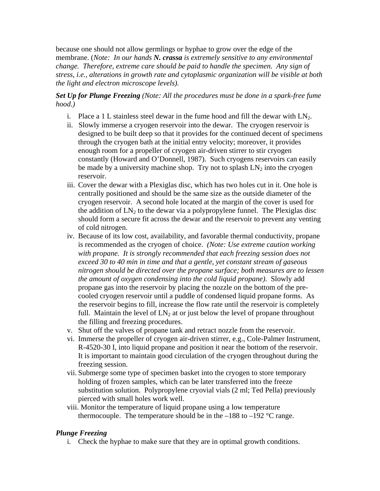because one should not allow germlings or hyphae to grow over the edge of the membrane. (*Note: In our hands N. crassa is extremely sensitive to any environmental change. Therefore, extreme care should be paid to handle the specimen. Any sign of stress, i.e., alterations in growth rate and cytoplasmic organization will be visible at both the light and electron microscope levels).* 

*Set Up for Plunge Freezing (Note: All the procedures must be done in a spark-free fume hood.)* 

- i. Place a 1 L stainless steel dewar in the fume hood and fill the dewar with  $LN<sub>2</sub>$ .
- ii. Slowly immerse a cryogen reservoir into the dewar. The cryogen reservoir is designed to be built deep so that it provides for the continued decent of specimens through the cryogen bath at the initial entry velocity; moreover, it provides enough room for a propeller of cryogen air-driven stirrer to stir cryogen constantly (Howard and O'Donnell, 1987). Such cryogens reservoirs can easily be made by a university machine shop. Try not to splash  $LN_2$  into the cryogen reservoir.
- iii. Cover the dewar with a Plexiglas disc, which has two holes cut in it. One hole is centrally positioned and should be the same size as the outside diameter of the cryogen reservoir. A second hole located at the margin of the cover is used for the addition of  $LN_2$  to the dewar via a polypropylene funnel. The Plexiglas disc should form a secure fit across the dewar and the reservoir to prevent any venting of cold nitrogen.
- iv. Because of its low cost, availability, and favorable thermal conductivity, propane is recommended as the cryogen of choice. *(Note: Use extreme caution working with propane. It is strongly recommended that each freezing session does not exceed 30 to 40 min in time and that a gentle, yet constant stream of gaseous nitrogen should be directed over the propane surface; both measures are to lessen the amount of oxygen condensing into the cold liquid propane)*. Slowly add propane gas into the reservoir by placing the nozzle on the bottom of the precooled cryogen reservoir until a puddle of condensed liquid propane forms. As the reservoir begins to fill, increase the flow rate until the reservoir is completely full. Maintain the level of  $LN_2$  at or just below the level of propane throughout the filling and freezing procedures.
- v. Shut off the valves of propane tank and retract nozzle from the reservoir.
- vi. Immerse the propeller of cryogen air-driven stirrer, e.g., Cole-Palmer Instrument, R-4520-30 I, into liquid propane and position it near the bottom of the reservoir. It is important to maintain good circulation of the cryogen throughout during the freezing session.
- vii. Submerge some type of specimen basket into the cryogen to store temporary holding of frozen samples, which can be later transferred into the freeze substitution solution. Polypropylene cryovial vials (2 ml; Ted Pella) previously pierced with small holes work well.
- viii. Monitor the temperature of liquid propane using a low temperature thermocouple. The temperature should be in the  $-188$  to  $-192$  °C range.

# *Plunge Freezing*

i. Check the hyphae to make sure that they are in optimal growth conditions.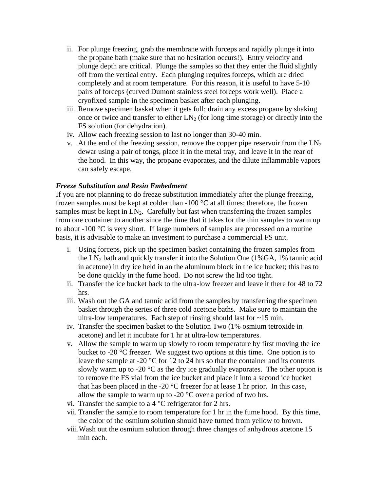- ii. For plunge freezing, grab the membrane with forceps and rapidly plunge it into the propane bath (make sure that no hesitation occurs!). Entry velocity and plunge depth are critical. Plunge the samples so that they enter the fluid slightly off from the vertical entry. Each plunging requires forceps, which are dried completely and at room temperature. For this reason, it is useful to have 5-10 pairs of forceps (curved Dumont stainless steel forceps work well). Place a cryofixed sample in the specimen basket after each plunging.
- iii. Remove specimen basket when it gets full; drain any excess propane by shaking once or twice and transfer to either  $LN<sub>2</sub>$  (for long time storage) or directly into the FS solution (for dehydration).
- iv. Allow each freezing session to last no longer than 30-40 min.
- v. At the end of the freezing session, remove the copper pipe reservoir from the  $LN<sub>2</sub>$ dewar using a pair of tongs, place it in the metal tray, and leave it in the rear of the hood. In this way, the propane evaporates, and the dilute inflammable vapors can safely escape.

## *Freeze Substitution and Resin Embedment*

If you are not planning to do freeze substitution immediately after the plunge freezing, frozen samples must be kept at colder than  $-100\degree C$  at all times; therefore, the frozen samples must be kept in  $LN_2$ . Carefully but fast when transferring the frozen samples from one container to another since the time that it takes for the thin samples to warm up to about -100 °C is very short. If large numbers of samples are processed on a routine basis, it is advisable to make an investment to purchase a commercial FS unit.

- i. Using forceps, pick up the specimen basket containing the frozen samples from the  $LN_2$  bath and quickly transfer it into the Solution One (1%GA, 1% tannic acid in acetone) in dry ice held in an the aluminum block in the ice bucket; this has to be done quickly in the fume hood. Do not screw the lid too tight.
- ii. Transfer the ice bucket back to the ultra-low freezer and leave it there for 48 to 72 hrs.
- iii. Wash out the GA and tannic acid from the samples by transferring the specimen basket through the series of three cold acetone baths. Make sure to maintain the ultra-low temperatures. Each step of rinsing should last for  $\sim$  15 min.
- iv. Transfer the specimen basket to the Solution Two (1% osmium tetroxide in acetone) and let it incubate for 1 hr at ultra-low temperatures.
- v. Allow the sample to warm up slowly to room temperature by first moving the ice bucket to -20 °C freezer. We suggest two options at this time. One option is to leave the sample at -20 °C for 12 to 24 hrs so that the container and its contents slowly warm up to -20  $\degree$ C as the dry ice gradually evaporates. The other option is to remove the FS vial from the ice bucket and place it into a second ice bucket that has been placed in the -20  $^{\circ}$ C freezer for at lease 1 hr prior. In this case, allow the sample to warm up to -20  $^{\circ}$ C over a period of two hrs.
- vi. Transfer the sample to a  $4^{\circ}$ C refrigerator for 2 hrs.
- vii. Transfer the sample to room temperature for 1 hr in the fume hood. By this time, the color of the osmium solution should have turned from yellow to brown.
- viii.Wash out the osmium solution through three changes of anhydrous acetone 15 min each.